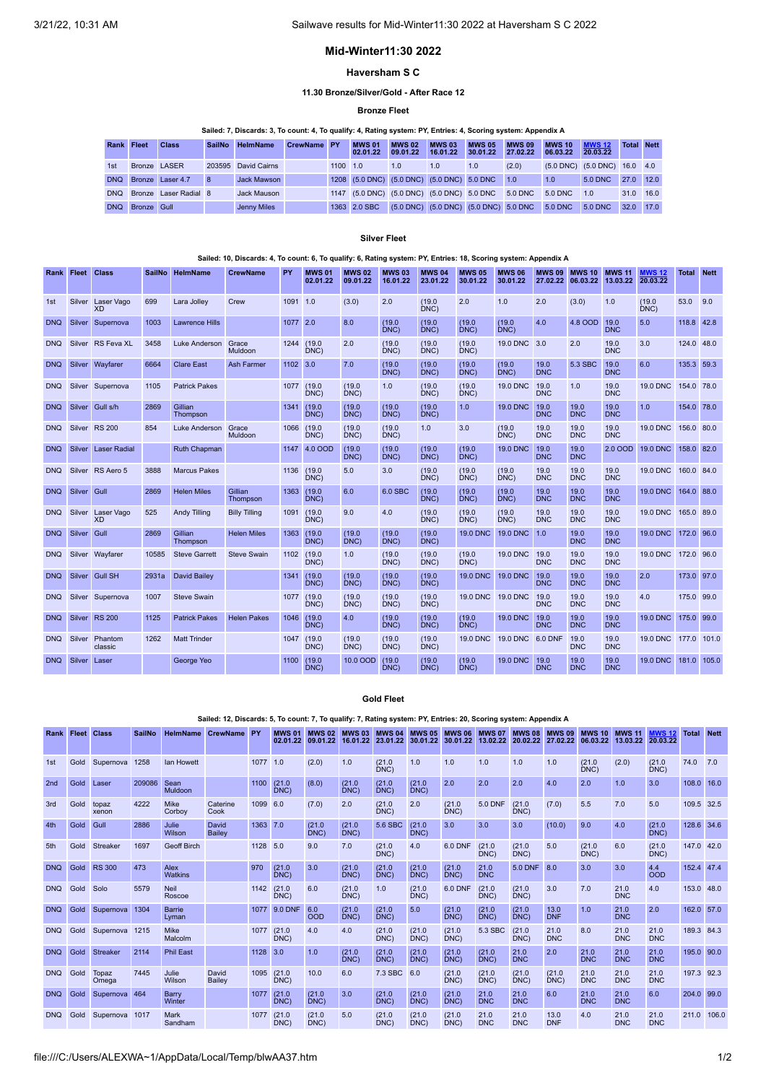## **Mid-Winter11:30 2022**

### **Haversham S C**

## **11.30 Bronze/Silver/Gold - After Race 12**

# **Bronze Fleet**

|            |                 |                           |               | Sailed: 7, Discards: 3, To count: 4, To qualify: 4, Rating system: PY, Entries: 4, Scoring system: Appendix A |             |          |                           |                                                    |                           |                           |                           |                           |                              |                   |  |
|------------|-----------------|---------------------------|---------------|---------------------------------------------------------------------------------------------------------------|-------------|----------|---------------------------|----------------------------------------------------|---------------------------|---------------------------|---------------------------|---------------------------|------------------------------|-------------------|--|
| Rank Fleet |                 | <b>Class</b>              | <b>SailNo</b> | <b>HelmName</b>                                                                                               | CrewName PY |          | <b>MWS 01</b><br>02.01.22 | <b>MWS 02</b><br>09.01.22                          | <b>MWS 03</b><br>16.01.22 | <b>MWS 05</b><br>30.01.22 | <b>MWS 09</b><br>27.02.22 | <b>MWS 10</b><br>06.03.22 | <b>MWS 12</b><br>20.03.22    | <b>Total Nett</b> |  |
| 1st        | Bronze LASER    |                           |               | 203595 David Cairns                                                                                           |             | 1100 1.0 |                           | 1.0                                                | 1.0                       | 1.0                       | (2.0)                     |                           | (5.0 DNC) (5.0 DNC) 16.0 4.0 |                   |  |
|            |                 | DNQ Bronze Laser 4.7      | 8             | Jack Mawson                                                                                                   |             |          |                           | 1208 (5.0 DNC) (5.0 DNC) (5.0 DNC) 5.0 DNC 1.0     |                           |                           |                           | 1.0                       | 5.0 DNC                      | 27.0 12.0         |  |
|            |                 | DNQ Bronze Laser Radial 8 |               | Jack Mauson                                                                                                   |             |          |                           | 1147 (5.0 DNC) (5.0 DNC) (5.0 DNC) 5.0 DNC 5.0 DNC |                           |                           |                           | 5.0 DNC                   | 1.0                          | 31.0 16.0         |  |
|            | DNQ Bronze Gull |                           |               | Jenny Miles                                                                                                   |             |          | 1363 2.0 SBC              | (5.0 DNC) (5.0 DNC) (5.0 DNC) 5.0 DNC              |                           |                           |                           | 5.0 DNC                   | 5.0 DNC                      | 32.0 17.0         |  |

### **Silver Fleet**

### Sailed: 10, Discards: 4, To count: 6, To qualify: 6, Rating system: PY, Entries: 18, Scoring system: Appendix A

| Rank Fleet |        | <b>Class</b>                   | <b>SailNo</b> | <b>HelmName</b>       | <b>CrewName</b>      | PY         | <b>MWS 01</b><br>02.01.22 | <b>MWS 02</b><br>09.01.22 | <b>MWS 03</b><br>16.01.22 | <b>MWS 04</b><br>23.01.22 | <b>MWS 05</b><br>30.01.22 | <b>MWS 06</b><br>30.01.22 | <b>MWS 09</b><br>27.02.22 | <b>MWS 10</b><br>06.03.22 | <b>MWS 11</b><br>13.03.22 | <b>MWS 12</b><br>20.03.22 | <b>Total Nett</b> |       |
|------------|--------|--------------------------------|---------------|-----------------------|----------------------|------------|---------------------------|---------------------------|---------------------------|---------------------------|---------------------------|---------------------------|---------------------------|---------------------------|---------------------------|---------------------------|-------------------|-------|
| 1st        | Silver | Laser Vago<br><b>XD</b>        | 699           | Lara Jolley           | Crew                 | 1091 1.0   |                           | (3.0)                     | 2.0                       | (19.0)<br>DNC)            | 2.0                       | 1.0                       | 2.0                       | (3.0)                     | 1.0                       | (19.0)<br>DNC)            | 53.0              | 9.0   |
| <b>DNQ</b> | Silver | Supernova                      | 1003          | <b>Lawrence Hills</b> |                      | 1077 2.0   |                           | 8.0                       | (19.0)<br>DNC)            | (19.0)<br>DNC)            | (19.0)<br>DNC)            | (19.0)<br>DNC)            | 4.0                       | 4.8 OOD                   | 19.0<br><b>DNC</b>        | 5.0                       | 118.8 42.8        |       |
| <b>DNQ</b> |        | Silver RS Feva XL              | 3458          | Luke Anderson         | Grace<br>Muldoon     | 1244       | (19.0)<br>DNC)            | 2.0                       | (19.0)<br>DNC)            | (19.0)<br>DNC)            | (19.0)<br>DNC)            | 19.0 DNC 3.0              |                           | 2.0                       | 19.0<br><b>DNC</b>        | 3.0                       | 124.0 48.0        |       |
| <b>DNQ</b> | Silver | Wayfarer                       | 6664          | <b>Clare East</b>     | <b>Ash Farmer</b>    | 1102 3.0   |                           | 7.0                       | (19.0)<br>DNC)            | (19.0)<br>DNC)            | (19.0)<br>DNC)            | (19.0)<br>DNC)            | 19.0<br><b>DNC</b>        | 5.3 SBC                   | 19.0<br><b>DNC</b>        | 6.0                       | 135.3 59.3        |       |
| <b>DNQ</b> |        | Silver Supernova               | 1105          | <b>Patrick Pakes</b>  |                      | 1077       | (19.0)<br>DNC)            | (19.0)<br>DNC)            | 1.0                       | (19.0)<br>DNC)            | (19.0)<br>DNC)            | <b>19.0 DNC</b>           | 19.0<br><b>DNC</b>        | 1.0                       | 19.0<br><b>DNC</b>        | <b>19.0 DNC</b>           | 154.0 78.0        |       |
| <b>DNQ</b> | Silver | Gull s/h                       | 2869          | Gillian<br>Thompson   |                      | 1341       | (19.0)<br>DNC)            | (19.0)<br>DNC)            | (19.0)<br>DNC)            | (19.0)<br>DNC)            | 1.0                       | <b>19.0 DNC</b>           | 19.0<br><b>DNC</b>        | 19.0<br><b>DNC</b>        | 19.0<br><b>DNC</b>        | 1.0                       | 154.0 78.0        |       |
| <b>DNQ</b> | Silver | <b>RS 200</b>                  | 854           | Luke Anderson         | Grace<br>Muldoon     | 1066       | (19.0)<br>DNC)            | (19.0)<br>DNC)            | (19.0)<br>DNC)            | 1.0                       | 3.0                       | (19.0)<br>DNC)            | 19.0<br><b>DNC</b>        | 19.0<br><b>DNC</b>        | 19.0<br><b>DNC</b>        | <b>19.0 DNC</b>           | 156.0 80.0        |       |
| <b>DNQ</b> | Silver | <b>Laser Radial</b>            |               | Ruth Chapman          |                      | 1147       | 4.0 OOD                   | (19.0)<br>DNC)            | (19.0)<br>DNC)            | (19.0)<br>DNC)            | (19.0)<br>DNC)            | <b>19.0 DNC</b>           | 19.0<br><b>DNC</b>        | 19.0<br><b>DNC</b>        | 2.0 OOD                   | <b>19.0 DNC</b>           | 158.0 82.0        |       |
| <b>DNQ</b> |        | Silver RS Aero 5               | 3888          | <b>Marcus Pakes</b>   |                      | 1136       | (19.0)<br>DNC)            | 5.0                       | 3.0                       | (19.0)<br>DNC)            | (19.0)<br>DNC)            | (19.0)<br>DNC)            | 19.0<br><b>DNC</b>        | 19.0<br><b>DNC</b>        | 19.0<br><b>DNC</b>        | <b>19.0 DNC</b>           | 160.0 84.0        |       |
| DNQ        | Silver | Gull                           | 2869          | <b>Helen Miles</b>    | Gillian<br>Thompson  | 1363       | (19.0)<br>DNC)            | 6.0                       | 6.0 SBC                   | (19.0)<br>DNC)            | (19.0)<br>DNC)            | (19.0)<br>DNC)            | 19.0<br><b>DNC</b>        | 19.0<br><b>DNC</b>        | 19.0<br><b>DNC</b>        | <b>19.0 DNC</b>           | 164.0             | 88.0  |
| <b>DNQ</b> |        | Silver Laser Vago<br><b>XD</b> | 525           | <b>Andy Tilling</b>   | <b>Billy Tilling</b> | 1091       | (19.0)<br>DNC)            | 9.0                       | 4.0                       | (19.0)<br>DNC)            | (19.0)<br>DNC)            | (19.0)<br>DNC)            | 19.0<br><b>DNC</b>        | 19.0<br><b>DNC</b>        | 19.0<br><b>DNC</b>        | <b>19.0 DNC</b>           | 165.0 89.0        |       |
| <b>DNQ</b> | Silver | Gull                           | 2869          | Gillian<br>Thompson   | <b>Helen Miles</b>   | 1363       | (19.0)<br>DNC)            | (19.0)<br>DNC)            | (19.0)<br>DNC)            | (19.0)<br>DNC)            | <b>19.0 DNC</b>           | 19.0 DNC 1.0              |                           | 19.0<br><b>DNC</b>        | 19.0<br><b>DNC</b>        | <b>19.0 DNC</b>           | 172.0 96.0        |       |
| <b>DNQ</b> | Silver | Wayfarer                       | 10585         | <b>Steve Garrett</b>  | <b>Steve Swain</b>   | 1102       | (19.0)<br>DNC)            | 1.0                       | (19.0)<br>DNC)            | (19.0)<br>DNC)            | (19.0)<br>DNC)            | 19.0 DNC 19.0             | <b>DNC</b>                | 19.0<br><b>DNC</b>        | 19.0<br><b>DNC</b>        | <b>19.0 DNC</b>           | 172.0 96.0        |       |
| <b>DNQ</b> | Silver | <b>Gull SH</b>                 | 2931a         | <b>David Bailey</b>   |                      | 1341       | (19.0)<br>DNC)            | (19.0)<br>DNC)            | (19.0)<br>DNC)            | (19.0)<br>DNC)            | <b>19.0 DNC</b>           | 19.0 DNC 19.0             | <b>DNC</b>                | 19.0<br><b>DNC</b>        | 19.0<br><b>DNC</b>        | 2.0                       | 173.0 97.0        |       |
| <b>DNQ</b> |        | Silver Supernova               | 1007          | <b>Steve Swain</b>    |                      | 1077 (19.0 | DNC)                      | (19.0)<br>DNC)            | (19.0)<br>DNC)            | (19.0)<br>DNC)            | <b>19.0 DNC</b>           | 19.0 DNC 19.0             | <b>DNC</b>                | 19.0<br><b>DNC</b>        | 19.0<br><b>DNC</b>        | 4.0                       | 175.0 99.0        |       |
| <b>DNQ</b> | Silver | <b>RS 200</b>                  | 1125          | <b>Patrick Pakes</b>  | <b>Helen Pakes</b>   | 1046       | (19.0)<br>DNC)            | 4.0                       | (19.0)<br>DNC)            | (19.0)<br>DNC)            | (19.0)<br>DNC)            | 19.0 DNC 19.0             | <b>DNC</b>                | 19.0<br><b>DNC</b>        | 19.0<br><b>DNC</b>        | <b>19.0 DNC</b>           | 175.0 99.0        |       |
| <b>DNQ</b> | Silver | Phantom<br>classic             | 1262          | <b>Matt Trinder</b>   |                      | 1047       | (19.0)<br>DNC)            | (19.0)<br>DNC)            | (19.0)<br>DNC)            | (19.0)<br>DNC)            | <b>19.0 DNC</b>           | 19.0 DNC 6.0 DNF          |                           | 19.0<br><b>DNC</b>        | 19.0<br><b>DNC</b>        | <b>19.0 DNC</b>           | 177.0             | 101.0 |
| <b>DNO</b> | Silver | Laser                          |               | George Yeo            |                      | 1100       | (19.0)<br>DNC)            | 10.0 OOD                  | (19.0)<br>DNC)            | (19.0)<br>DNC)            | (19.0)<br>DNC)            | <b>19.0 DNC</b>           | 19.0<br><b>DNC</b>        | 19.0<br><b>DNC</b>        | 19.0<br><b>DNC</b>        | <b>19.0 DNC</b>           | 181.0             | 105.0 |

### **Gold Fleet**

|                 | Sailed: 12, Discards: 5, To count: 7, To qualify: 7, Rating system: PY, Entries: 20, Scoring system: Appendix A |                |               |                        |                        |           |                |                                    |                           |                           |                |                                  |                    |                                  |                           |                           |                           |                           |              |             |
|-----------------|-----------------------------------------------------------------------------------------------------------------|----------------|---------------|------------------------|------------------------|-----------|----------------|------------------------------------|---------------------------|---------------------------|----------------|----------------------------------|--------------------|----------------------------------|---------------------------|---------------------------|---------------------------|---------------------------|--------------|-------------|
| Rank            | <b>Fleet</b> Class                                                                                              |                | <b>SailNo</b> | <b>HelmName</b>        | <b>CrewName</b>        | <b>PY</b> | <b>MWS 01</b>  | <b>MWS 02</b><br>02.01.22 09.01.22 | <b>MWS 03</b><br>16.01.22 | <b>MWS 04</b><br>23.01.22 | 30.01.22       | <b>MWS 05 MWS 06</b><br>30.01.22 | 13.02.22           | <b>MWS 07 MWS 08</b><br>20.02.22 | <b>MWS 09</b><br>27.02.22 | <b>MWS 10</b><br>06.03.22 | <b>MWS 11</b><br>13.03.22 | <b>MWS 12</b><br>20.03.22 | <b>Total</b> | <b>Nett</b> |
| 1st             | Gold                                                                                                            | Supernova      | 1258          | lan Howett             |                        | 1077 1.0  |                | (2.0)                              | 1.0                       | (21.0)<br>DNC)            | 1.0            | 1.0                              | 1.0                | 1.0                              | 1.0                       | (21.0)<br>DNC)            | (2.0)                     | (21.0)<br>DNC)            | 74.0         | 7.0         |
| 2 <sub>nd</sub> | Gold                                                                                                            | Laser          | 209086        | Sean<br>Muldoon        |                        | 1100      | (21.0)<br>DNC) | (8.0)                              | (21.0)<br>DNC)            | (21.0)<br>DNC)            | (21.0)<br>DNC) | 2.0                              | 2.0                | 2.0                              | 4.0                       | 2.0                       | 1.0                       | 3.0                       | 108.0 16.0   |             |
| 3rd             | Gold                                                                                                            | topaz<br>xenon | 4222          | Mike<br>Corboy         | Caterine<br>Cook       | 1099      | 6.0            | (7.0)                              | 2.0                       | (21.0)<br>DNC)            | 2.0            | (21.0)<br>DNC)                   | <b>5.0 DNF</b>     | (21.0)<br>DNC)                   | (7.0)                     | 5.5                       | 7.0                       | 5.0                       | 109.5 32.5   |             |
| 4th             | Gold                                                                                                            | Gull           | 2886          | Julie<br>Wilson        | David<br><b>Bailev</b> | 1363 7.0  |                | (21.0)<br>DNC)                     | (21.0)<br>DNC)            | 5.6 SBC                   | (21.0)<br>DNC) | 3.0                              | 3.0                | 3.0                              | (10.0)                    | 9.0                       | 4.0                       | (21.0)<br>DNC)            | 128.6 34.6   |             |
| 5th             | Gold                                                                                                            | Streaker       | 1697          | <b>Geoff Birch</b>     |                        | 1128      | 5.0            | 9.0                                | 7.0                       | (21.0)<br>DNC)            | 4.0            | 6.0 DNF                          | (21.0)<br>DNC)     | (21.0)<br>DNC)                   | 5.0                       | (21.0)<br>DNC)            | 6.0                       | (21.0)<br>DNC)            | 147.0 42.0   |             |
| <b>DNQ</b>      | Gold                                                                                                            | <b>RS 300</b>  | 473           | Alex<br>Watkins        |                        | 970       | (21.0)<br>DNC) | 3.0                                | (21.0)<br>DNC)            | (21.0)<br>DNC)            | (21.0)<br>DNC) | (21.0)<br>DNC)                   | 21.0<br><b>DNC</b> | 5.0 DNF                          | 8.0                       | 3.0                       | 3.0                       | 4.4<br><b>OOD</b>         | 152.4 47.4   |             |
| <b>DNQ</b>      | Gold                                                                                                            | Solo           | 5579          | Neil<br>Roscoe         |                        | 1142      | (21.0)<br>DNC) | 6.0                                | (21.0)<br>DNC)            | 1.0                       | (21.0)<br>DNC) | <b>6.0 DNF</b>                   | (21.0)<br>DNC)     | (21.0)<br>DNC)                   | 3.0                       | 7.0                       | 21.0<br><b>DNC</b>        | 4.0                       | 153.0 48.0   |             |
| <b>DNQ</b>      | Gold                                                                                                            | Supernova      | 1304          | <b>Barrie</b><br>Lyman |                        | 1077      | 9.0 DNF        | 6.0<br><b>OOD</b>                  | (21.0)<br>DNC)            | (21.0)<br>DNC)            | 5.0            | (21.0)<br>DNC)                   | (21.0)<br>DNC)     | (21.0)<br>DNC)                   | 13.0<br><b>DNF</b>        | 1.0                       | 21.0<br><b>DNC</b>        | 2.0                       | 162.0 57.0   |             |
| <b>DNQ</b>      | Gold                                                                                                            | Supernova 1215 |               | Mike<br>Malcolm        |                        | 1077      | (21.0)<br>DNC) | 4.0                                | 4.0                       | (21.0)<br>DNC)            | (21.0)<br>DNC) | (21.0)<br>DNC)                   | 5.3 SBC            | (21.0)<br>DNC)                   | 21.0<br><b>DNC</b>        | 8.0                       | 21.0<br><b>DNC</b>        | 21.0<br><b>DNC</b>        | 189.3 84.3   |             |
| <b>DNQ</b>      | Gold                                                                                                            | Streaker       | 2114          | <b>Phil East</b>       |                        | 1128 3.0  |                | 1.0                                | (21.0)<br>DNC)            | (21.0)<br>DNC)            | (21.0)<br>DNC) | (21.0)<br>DNC)                   | (21.0)<br>DNC)     | 21.0<br><b>DNC</b>               | 2.0                       | 21.0<br><b>DNC</b>        | 21.0<br><b>DNC</b>        | 21.0<br><b>DNC</b>        | 195.0 90.0   |             |
| <b>DNQ</b>      | Gold                                                                                                            | Topaz<br>Omega | 7445          | Julie<br>Wilson        | David<br>Bailey        | 1095      | (21.0)<br>DNC) | 10.0                               | 6.0                       | 7.3 SBC                   | 6.0            | (21.0)<br>DNC)                   | (21.0)<br>DNC      | (21.0)<br>DNC)                   | (21.0)<br>DNC)            | 21.0<br><b>DNC</b>        | 21.0<br><b>DNC</b>        | 21.0<br><b>DNC</b>        | 197.3 92.3   |             |
| <b>DNQ</b>      | Gold                                                                                                            | Supernova 464  |               | Barry<br>Winter        |                        | 1077      | (21.0)<br>DNC) | (21.0)<br>DNC)                     | 3.0                       | (21.0)<br>DNC)            | (21.0)<br>DNC) | (21.0)<br>DNC)                   | 21.0<br><b>DNC</b> | 21.0<br><b>DNC</b>               | 6.0                       | 21.0<br><b>DNC</b>        | 21.0<br><b>DNC</b>        | 6.0                       | 204.0 99.0   |             |
| <b>DNQ</b>      | Gold                                                                                                            | Supernova 1017 |               | Mark<br>Sandham        |                        | 1077      | (21.0)<br>DNC) | (21.0)<br>DNC)                     | 5.0                       | (21.0)<br>DNC)            | (21.0)<br>DNC) | (21.0)<br>DNC)                   | 21.0<br><b>DNC</b> | 21.0<br><b>DNC</b>               | 13.0<br><b>DNF</b>        | 4.0                       | 21.0<br><b>DNC</b>        | 21.0<br><b>DNC</b>        | 211.0 106.0  |             |